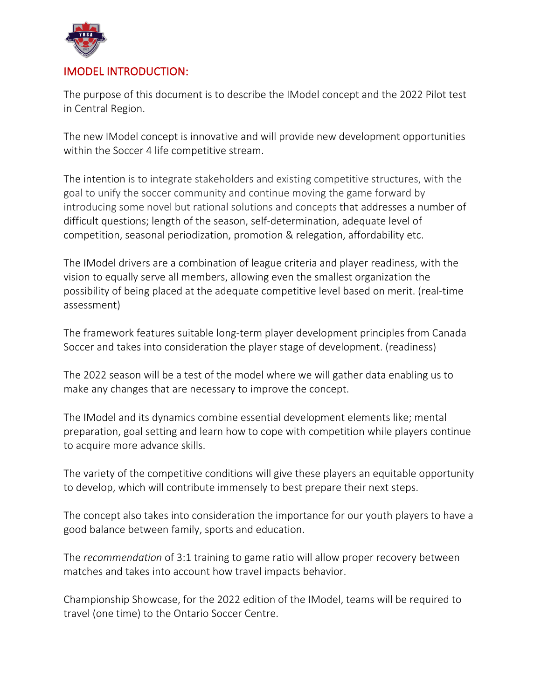

## IMODEL INTRODUCTION:

The purpose of this document is to describe the IModel concept and the 2022 Pilot test in Central Region.

The new IModel concept is innovative and will provide new development opportunities within the Soccer 4 life competitive stream.

The intention is to integrate stakeholders and existing competitive structures, with the goal to unify the soccer community and continue moving the game forward by introducing some novel but rational solutions and concepts that addresses a number of difficult questions; length of the season, self-determination, adequate level of competition, seasonal periodization, promotion & relegation, affordability etc.

The IModel drivers are a combination of league criteria and player readiness, with the vision to equally serve all members, allowing even the smallest organization the possibility of being placed at the adequate competitive level based on merit. (real-time assessment)

The framework features suitable long-term player development principles from Canada Soccer and takes into consideration the player stage of development. (readiness)

The 2022 season will be a test of the model where we will gather data enabling us to make any changes that are necessary to improve the concept.

The IModel and its dynamics combine essential development elements like; mental preparation, goal setting and learn how to cope with competition while players continue to acquire more advance skills.

The variety of the competitive conditions will give these players an equitable opportunity to develop, which will contribute immensely to best prepare their next steps.

The concept also takes into consideration the importance for our youth players to have a good balance between family, sports and education.

The *recommendation* of 3:1 training to game ratio will allow proper recovery between matches and takes into account how travel impacts behavior.

Championship Showcase, for the 2022 edition of the IModel, teams will be required to travel (one time) to the Ontario Soccer Centre.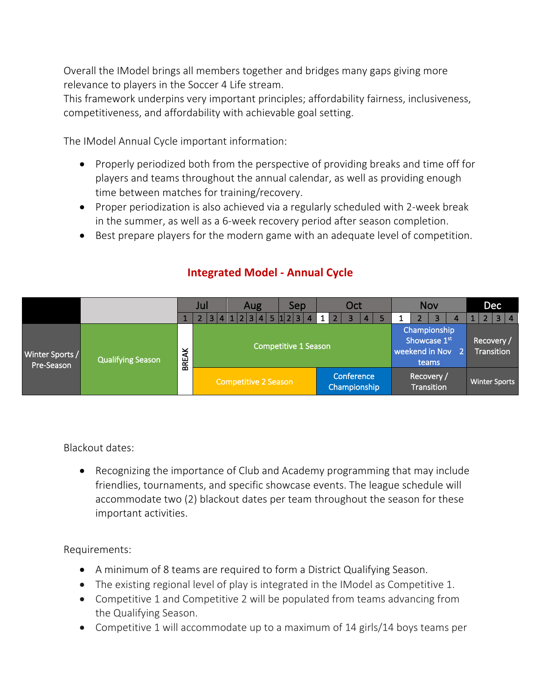Overall the IModel brings all members together and bridges many gaps giving more relevance to players in the Soccer 4 Life stream.

This framework underpins very important principles; affordability fairness, inclusiveness, competitiveness, and affordability with achievable goal setting.

The IModel Annual Cycle important information:

- Properly periodized both from the perspective of providing breaks and time off for players and teams throughout the annual calendar, as well as providing enough time between matches for training/recovery.
- Proper periodization is also achieved via a regularly scheduled with 2-week break in the summer, as well as a 6-week recovery period after season completion.
- Best prepare players for the modern game with an adequate level of competition.

|                               |                          |              | Jul |                             |  | Aug |  |  |  | Sep |                |  | Oct                        |                                                         |   |  |  | <b>Nov</b>              |                                 |  |   | Dec                  |  |                |           |
|-------------------------------|--------------------------|--------------|-----|-----------------------------|--|-----|--|--|--|-----|----------------|--|----------------------------|---------------------------------------------------------|---|--|--|-------------------------|---------------------------------|--|---|----------------------|--|----------------|-----------|
|                               |                          |              |     | 3 4 1 2 3 4 5 1 2 3         |  |     |  |  |  |     | $\overline{4}$ |  | 1 <sup>1</sup>             | $\overline{2}$                                          | 3 |  |  |                         |                                 |  | 4 |                      |  | $\overline{3}$ | $\vert 4$ |
| Winter Sports /<br>Pre-Season | <b>Qualifying Season</b> | <b>BREAK</b> |     | Competitive 1 Season        |  |     |  |  |  |     |                |  |                            | Championship<br>Showcase 1st<br>weekend in Nov<br>teams |   |  |  |                         | Recovery /<br><b>Transition</b> |  |   |                      |  |                |           |
|                               |                          |              |     | <b>Competitive 2 Season</b> |  |     |  |  |  |     |                |  | Conference<br>Championship |                                                         |   |  |  | Recovery/<br>Transition |                                 |  |   | <b>Winter Sports</b> |  |                |           |

## **Integrated Model - Annual Cycle**

Blackout dates:

• Recognizing the importance of Club and Academy programming that may include friendlies, tournaments, and specific showcase events. The league schedule will accommodate two (2) blackout dates per team throughout the season for these important activities.

Requirements:

- A minimum of 8 teams are required to form a District Qualifying Season.
- The existing regional level of play is integrated in the IModel as Competitive 1.
- Competitive 1 and Competitive 2 will be populated from teams advancing from the Qualifying Season.
- Competitive 1 will accommodate up to a maximum of 14 girls/14 boys teams per